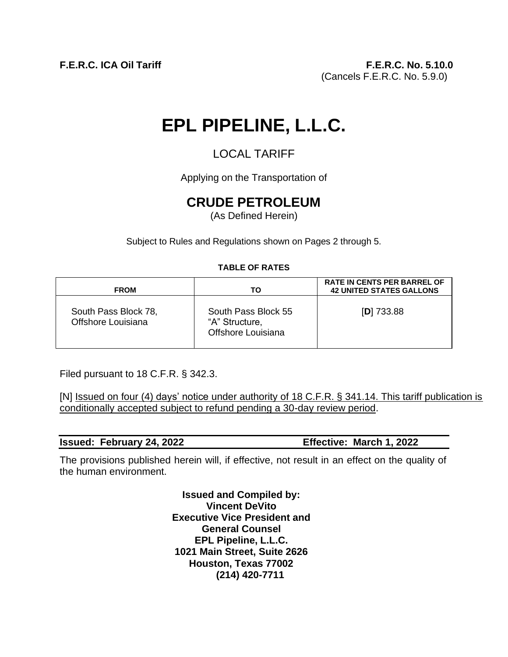# **EPL PIPELINE, L.L.C.**

# LOCAL TARIFF

Applying on the Transportation of

# **CRUDE PETROLEUM**

(As Defined Herein)

Subject to Rules and Regulations shown on Pages 2 through 5.

# **TABLE OF RATES**

| <b>FROM</b>                                | TO                                                          | <b>RATE IN CENTS PER BARREL OF</b><br><b>42 UNITED STATES GALLONS</b> |  |
|--------------------------------------------|-------------------------------------------------------------|-----------------------------------------------------------------------|--|
| South Pass Block 78,<br>Offshore Louisiana | South Pass Block 55<br>"A" Structure,<br>Offshore Louisiana | $[D]$ 733.88                                                          |  |

Filed pursuant to 18 C.F.R. § 342.3.

[N] Issued on four (4) days' notice under authority of 18 C.F.R. § 341.14. This tariff publication is conditionally accepted subject to refund pending a 30-day review period.

| <b>Issued: February 24, 2022</b> |  |  | Effective: March 1, 2022 |
|----------------------------------|--|--|--------------------------|
|----------------------------------|--|--|--------------------------|

The provisions published herein will, if effective, not result in an effect on the quality of the human environment.

> **Issued and Compiled by: Vincent DeVito Executive Vice President and General Counsel EPL Pipeline, L.L.C. 1021 Main Street, Suite 2626 Houston, Texas 77002 (214) 420-7711**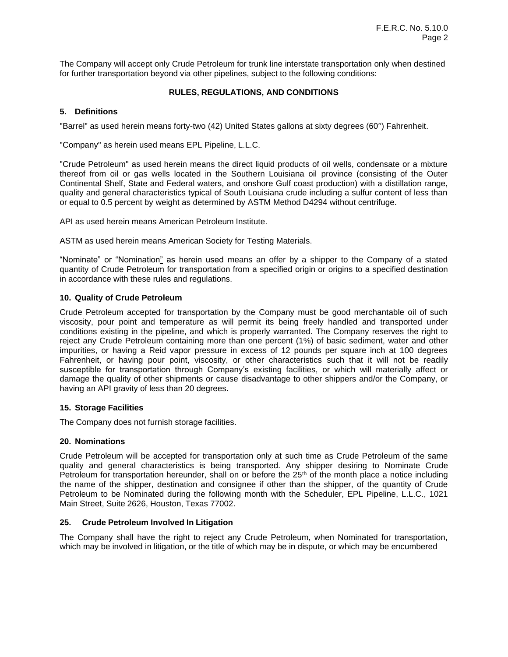The Company will accept only Crude Petroleum for trunk line interstate transportation only when destined for further transportation beyond via other pipelines, subject to the following conditions:

# **RULES, REGULATIONS, AND CONDITIONS**

# **5. Definitions**

"Barrel" as used herein means forty-two (42) United States gallons at sixty degrees (60°) Fahrenheit.

"Company" as herein used means EPL Pipeline, L.L.C.

"Crude Petroleum" as used herein means the direct liquid products of oil wells, condensate or a mixture thereof from oil or gas wells located in the Southern Louisiana oil province (consisting of the Outer Continental Shelf, State and Federal waters, and onshore Gulf coast production) with a distillation range, quality and general characteristics typical of South Louisiana crude including a sulfur content of less than or equal to 0.5 percent by weight as determined by ASTM Method D4294 without centrifuge.

API as used herein means American Petroleum Institute.

ASTM as used herein means American Society for Testing Materials.

"Nominate" or "Nomination" as herein used means an offer by a shipper to the Company of a stated quantity of Crude Petroleum for transportation from a specified origin or origins to a specified destination in accordance with these rules and regulations.

#### **10. Quality of Crude Petroleum**

Crude Petroleum accepted for transportation by the Company must be good merchantable oil of such viscosity, pour point and temperature as will permit its being freely handled and transported under conditions existing in the pipeline, and which is properly warranted. The Company reserves the right to reject any Crude Petroleum containing more than one percent (1%) of basic sediment, water and other impurities, or having a Reid vapor pressure in excess of 12 pounds per square inch at 100 degrees Fahrenheit, or having pour point, viscosity, or other characteristics such that it will not be readily susceptible for transportation through Company's existing facilities, or which will materially affect or damage the quality of other shipments or cause disadvantage to other shippers and/or the Company, or having an API gravity of less than 20 degrees.

#### **15. Storage Facilities**

The Company does not furnish storage facilities.

#### **20. Nominations**

Crude Petroleum will be accepted for transportation only at such time as Crude Petroleum of the same quality and general characteristics is being transported. Any shipper desiring to Nominate Crude Petroleum for transportation hereunder, shall on or before the  $25<sup>th</sup>$  of the month place a notice including the name of the shipper, destination and consignee if other than the shipper, of the quantity of Crude Petroleum to be Nominated during the following month with the Scheduler, EPL Pipeline, L.L.C., 1021 Main Street, Suite 2626, Houston, Texas 77002.

# **25. Crude Petroleum Involved In Litigation**

The Company shall have the right to reject any Crude Petroleum, when Nominated for transportation, which may be involved in litigation, or the title of which may be in dispute, or which may be encumbered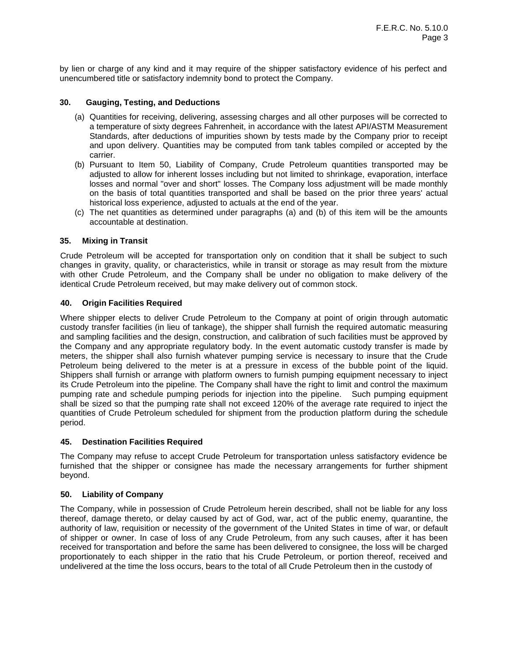by lien or charge of any kind and it may require of the shipper satisfactory evidence of his perfect and unencumbered title or satisfactory indemnity bond to protect the Company.

#### **30. Gauging, Testing, and Deductions**

- (a) Quantities for receiving, delivering, assessing charges and all other purposes will be corrected to a temperature of sixty degrees Fahrenheit, in accordance with the latest API/ASTM Measurement Standards, after deductions of impurities shown by tests made by the Company prior to receipt and upon delivery. Quantities may be computed from tank tables compiled or accepted by the carrier.
- (b) Pursuant to Item 50, Liability of Company, Crude Petroleum quantities transported may be adjusted to allow for inherent losses including but not limited to shrinkage, evaporation, interface losses and normal "over and short" losses. The Company loss adjustment will be made monthly on the basis of total quantities transported and shall be based on the prior three years' actual historical loss experience, adjusted to actuals at the end of the year.
- (c) The net quantities as determined under paragraphs (a) and (b) of this item will be the amounts accountable at destination.

#### **35. Mixing in Transit**

Crude Petroleum will be accepted for transportation only on condition that it shall be subject to such changes in gravity, quality, or characteristics, while in transit or storage as may result from the mixture with other Crude Petroleum, and the Company shall be under no obligation to make delivery of the identical Crude Petroleum received, but may make delivery out of common stock.

#### **40. Origin Facilities Required**

Where shipper elects to deliver Crude Petroleum to the Company at point of origin through automatic custody transfer facilities (in lieu of tankage), the shipper shall furnish the required automatic measuring and sampling facilities and the design, construction, and calibration of such facilities must be approved by the Company and any appropriate regulatory body. In the event automatic custody transfer is made by meters, the shipper shall also furnish whatever pumping service is necessary to insure that the Crude Petroleum being delivered to the meter is at a pressure in excess of the bubble point of the liquid. Shippers shall furnish or arrange with platform owners to furnish pumping equipment necessary to inject its Crude Petroleum into the pipeline. The Company shall have the right to limit and control the maximum pumping rate and schedule pumping periods for injection into the pipeline. Such pumping equipment shall be sized so that the pumping rate shall not exceed 120% of the average rate required to inject the quantities of Crude Petroleum scheduled for shipment from the production platform during the schedule period.

#### **45. Destination Facilities Required**

The Company may refuse to accept Crude Petroleum for transportation unless satisfactory evidence be furnished that the shipper or consignee has made the necessary arrangements for further shipment beyond.

#### **50. Liability of Company**

The Company, while in possession of Crude Petroleum herein described, shall not be liable for any loss thereof, damage thereto, or delay caused by act of God, war, act of the public enemy, quarantine, the authority of law, requisition or necessity of the government of the United States in time of war, or default of shipper or owner. In case of loss of any Crude Petroleum, from any such causes, after it has been received for transportation and before the same has been delivered to consignee, the loss will be charged proportionately to each shipper in the ratio that his Crude Petroleum, or portion thereof, received and undelivered at the time the loss occurs, bears to the total of all Crude Petroleum then in the custody of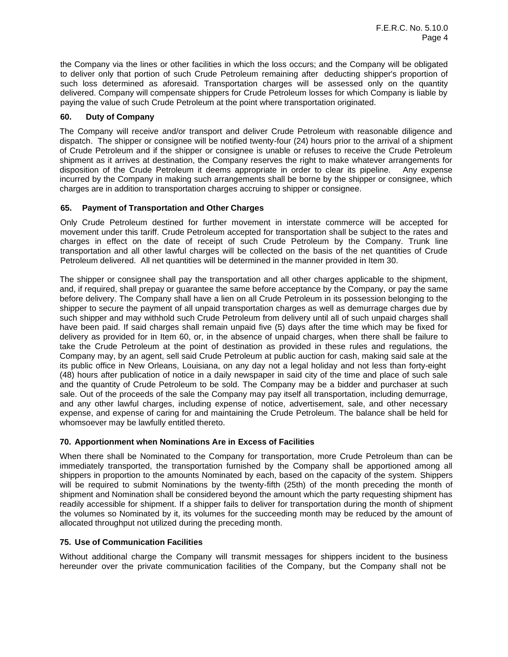the Company via the lines or other facilities in which the loss occurs; and the Company will be obligated to deliver only that portion of such Crude Petroleum remaining after deducting shipper's proportion of such loss determined as aforesaid. Transportation charges will be assessed only on the quantity delivered. Company will compensate shippers for Crude Petroleum losses for which Company is liable by paying the value of such Crude Petroleum at the point where transportation originated.

# **60. Duty of Company**

The Company will receive and/or transport and deliver Crude Petroleum with reasonable diligence and dispatch. The shipper or consignee will be notified twenty-four (24) hours prior to the arrival of a shipment of Crude Petroleum and if the shipper or consignee is unable or refuses to receive the Crude Petroleum shipment as it arrives at destination, the Company reserves the right to make whatever arrangements for disposition of the Crude Petroleum it deems appropriate in order to clear its pipeline. Any expense incurred by the Company in making such arrangements shall be borne by the shipper or consignee, which charges are in addition to transportation charges accruing to shipper or consignee.

# **65. Payment of Transportation and Other Charges**

Only Crude Petroleum destined for further movement in interstate commerce will be accepted for movement under this tariff. Crude Petroleum accepted for transportation shall be subject to the rates and charges in effect on the date of receipt of such Crude Petroleum by the Company. Trunk line transportation and all other lawful charges will be collected on the basis of the net quantities of Crude Petroleum delivered. All net quantities will be determined in the manner provided in Item 30.

The shipper or consignee shall pay the transportation and all other charges applicable to the shipment, and, if required, shall prepay or guarantee the same before acceptance by the Company, or pay the same before delivery. The Company shall have a lien on all Crude Petroleum in its possession belonging to the shipper to secure the payment of all unpaid transportation charges as well as demurrage charges due by such shipper and may withhold such Crude Petroleum from delivery until all of such unpaid charges shall have been paid. If said charges shall remain unpaid five (5) days after the time which may be fixed for delivery as provided for in Item 60, or, in the absence of unpaid charges, when there shall be failure to take the Crude Petroleum at the point of destination as provided in these rules and regulations, the Company may, by an agent, sell said Crude Petroleum at public auction for cash, making said sale at the its public office in New Orleans, Louisiana, on any day not a legal holiday and not less than forty-eight (48) hours after publication of notice in a daily newspaper in said city of the time and place of such sale and the quantity of Crude Petroleum to be sold. The Company may be a bidder and purchaser at such sale. Out of the proceeds of the sale the Company may pay itself all transportation, including demurrage, and any other lawful charges, including expense of notice, advertisement, sale, and other necessary expense, and expense of caring for and maintaining the Crude Petroleum. The balance shall be held for whomsoever may be lawfully entitled thereto.

# **70. Apportionment when Nominations Are in Excess of Facilities**

When there shall be Nominated to the Company for transportation, more Crude Petroleum than can be immediately transported, the transportation furnished by the Company shall be apportioned among all shippers in proportion to the amounts Nominated by each, based on the capacity of the system. Shippers will be required to submit Nominations by the twenty-fifth (25th) of the month preceding the month of shipment and Nomination shall be considered beyond the amount which the party requesting shipment has readily accessible for shipment. If a shipper fails to deliver for transportation during the month of shipment the volumes so Nominated by it, its volumes for the succeeding month may be reduced by the amount of allocated throughput not utilized during the preceding month.

# **75. Use of Communication Facilities**

Without additional charge the Company will transmit messages for shippers incident to the business hereunder over the private communication facilities of the Company, but the Company shall not be